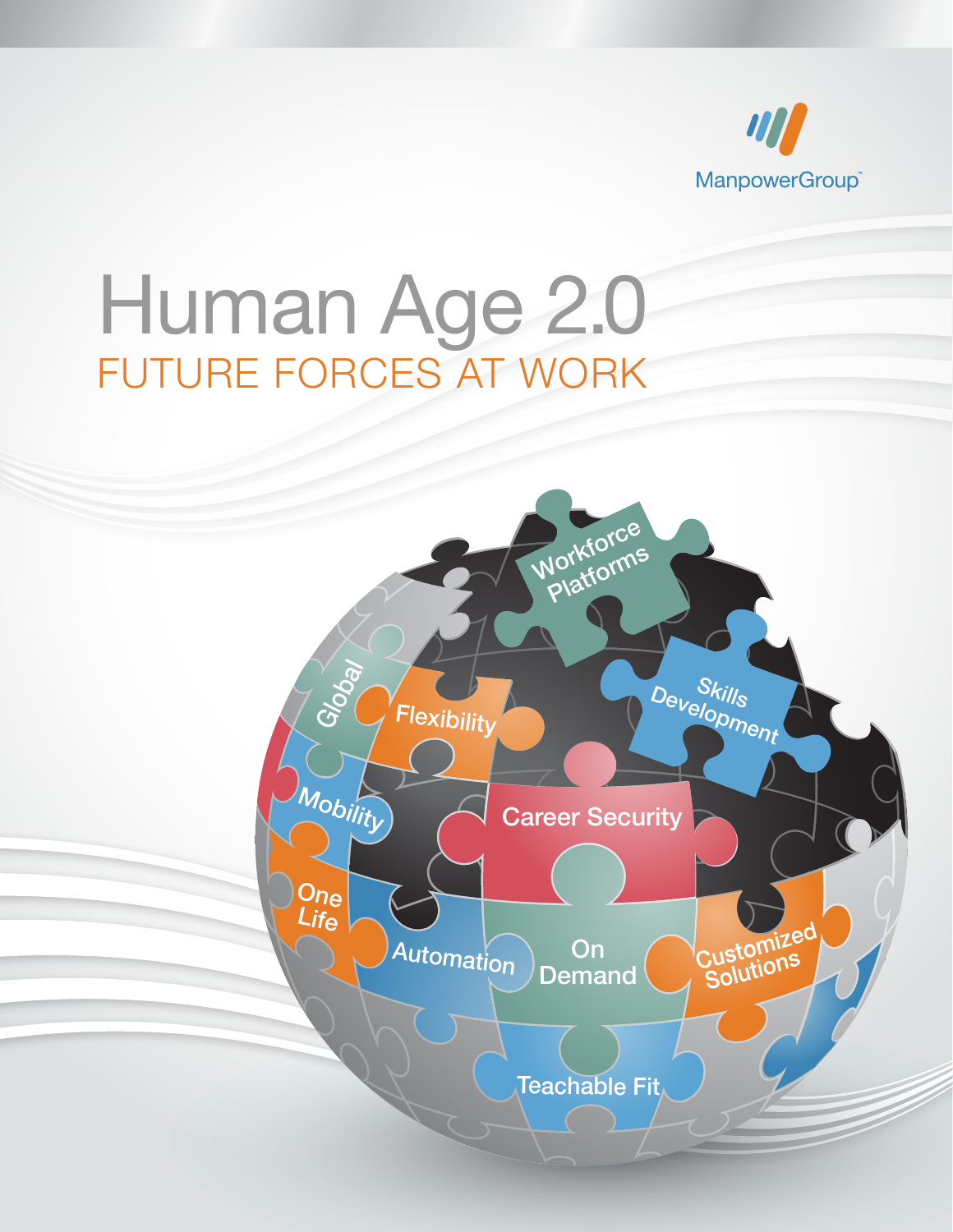

# Human Age 2.0 FUTURE FORCES AT WORK

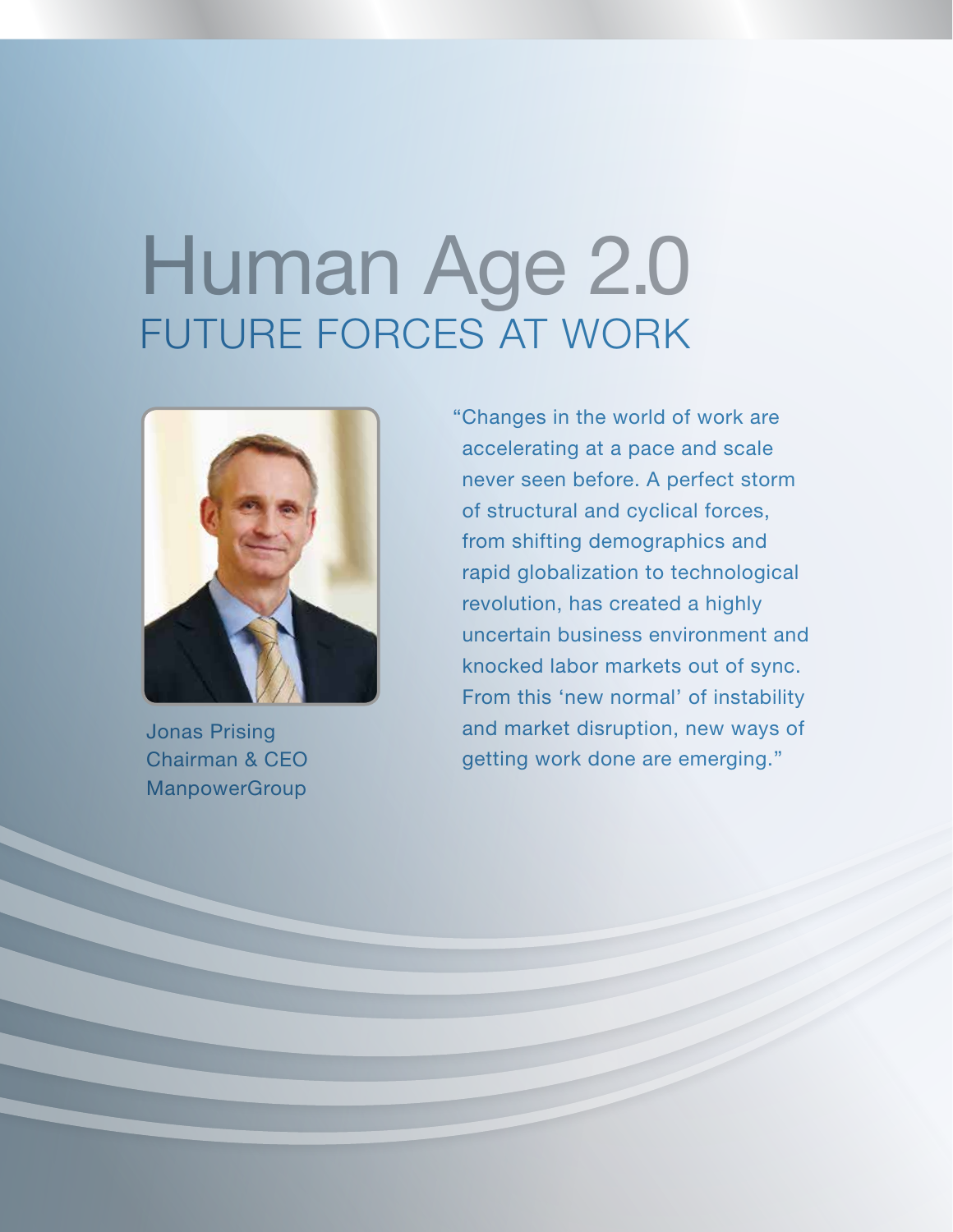# Human Age 2.0 FUTURE FORCES AT WORK



Jonas Prising Chairman & CEO **ManpowerGroup** 

"Changes in the world of work are accelerating at a pace and scale never seen before. A perfect storm of structural and cyclical forces, from shifting demographics and rapid globalization to technological revolution, has created a highly uncertain business environment and knocked labor markets out of sync. From this 'new normal' of instability and market disruption, new ways of getting work done are emerging."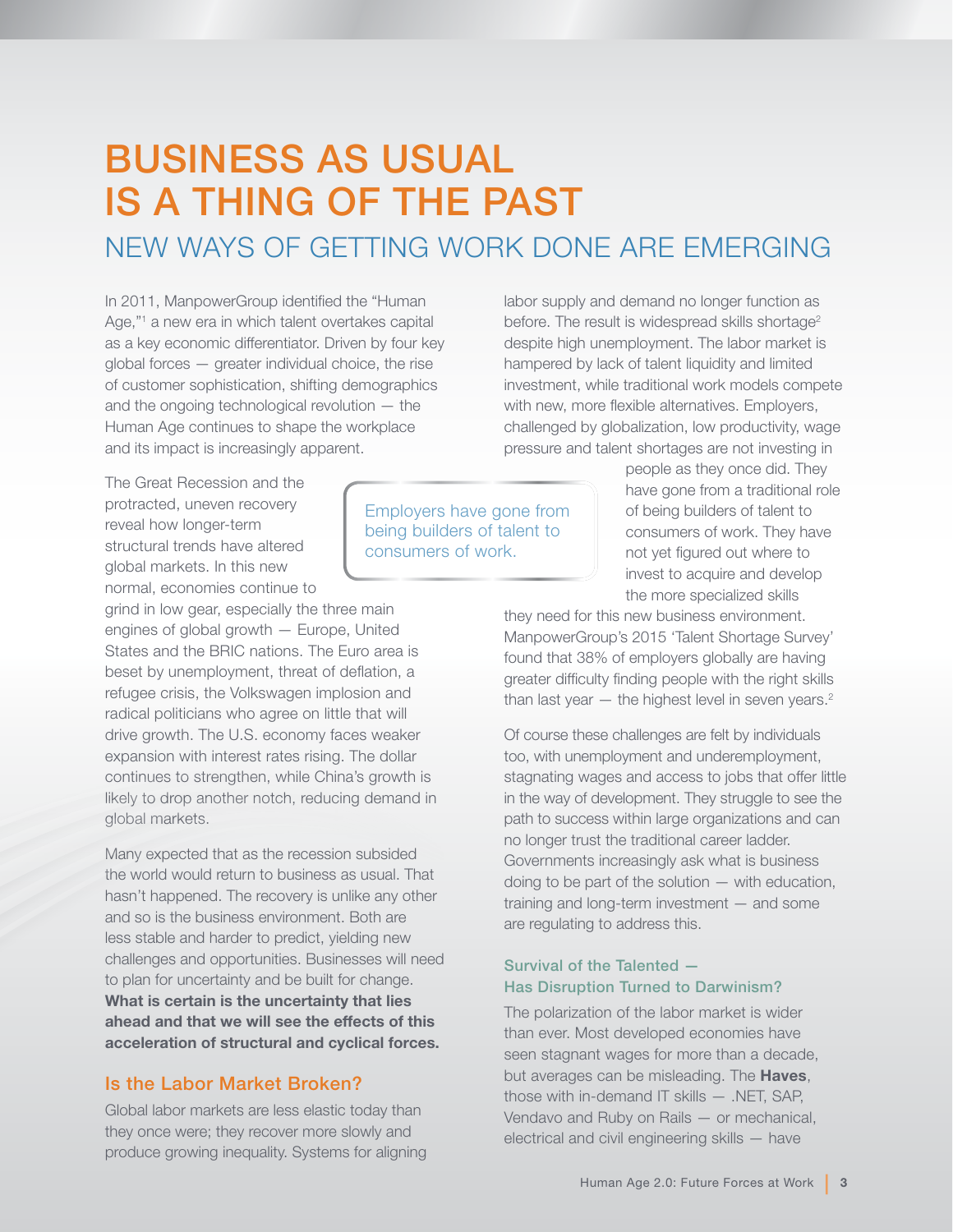## BUSINESS AS USUAL IS A THING OF THE PAST

## NEW WAYS OF GETTING WORK DONE ARE EMERGING

In 2011, ManpowerGroup identified the "Human Age,"1 a new era in which talent overtakes capital as a key economic differentiator. Driven by four key global forces — greater individual choice, the rise of customer sophistication, shifting demographics and the ongoing technological revolution — the Human Age continues to shape the workplace and its impact is increasingly apparent.

The Great Recession and the protracted, uneven recovery reveal how longer-term structural trends have altered global markets. In this new normal, economies continue to

grind in low gear, especially the three main engines of global growth — Europe, United States and the BRIC nations. The Euro area is beset by unemployment, threat of deflation, a refugee crisis, the Volkswagen implosion and radical politicians who agree on little that will drive growth. The U.S. economy faces weaker expansion with interest rates rising. The dollar continues to strengthen, while China's growth is likely to drop another notch, reducing demand in global markets.

Many expected that as the recession subsided the world would return to business as usual. That hasn't happened. The recovery is unlike any other and so is the business environment. Both are less stable and harder to predict, yielding new challenges and opportunities. Businesses will need to plan for uncertainty and be built for change. What is certain is the uncertainty that lies ahead and that we will see the effects of this acceleration of structural and cyclical forces.

#### Is the Labor Market Broken?

Global labor markets are less elastic today than they once were; they recover more slowly and produce growing inequality. Systems for aligning

Employers have gone from being builders of talent to consumers of work.

labor supply and demand no longer function as before. The result is widespread skills shortage<sup>2</sup> despite high unemployment. The labor market is hampered by lack of talent liquidity and limited investment, while traditional work models compete with new, more flexible alternatives. Employers, challenged by globalization, low productivity, wage pressure and talent shortages are not investing in

> people as they once did. They have gone from a traditional role of being builders of talent to consumers of work. They have not yet figured out where to invest to acquire and develop the more specialized skills

they need for this new business environment. ManpowerGroup's 2015 'Talent Shortage Survey' found that 38% of employers globally are having greater difficulty finding people with the right skills than last year  $-$  the highest level in seven years.<sup>2</sup>

Of course these challenges are felt by individuals too, with unemployment and underemployment, stagnating wages and access to jobs that offer little in the way of development. They struggle to see the path to success within large organizations and can no longer trust the traditional career ladder. Governments increasingly ask what is business doing to be part of the solution — with education, training and long-term investment — and some are regulating to address this.

#### Survival of the Talented — Has Disruption Turned to Darwinism?

The polarization of the labor market is wider than ever. Most developed economies have seen stagnant wages for more than a decade, but averages can be misleading. The **Haves**, those with in-demand IT skills — .NET, SAP, Vendavo and Ruby on Rails — or mechanical, electrical and civil engineering skills — have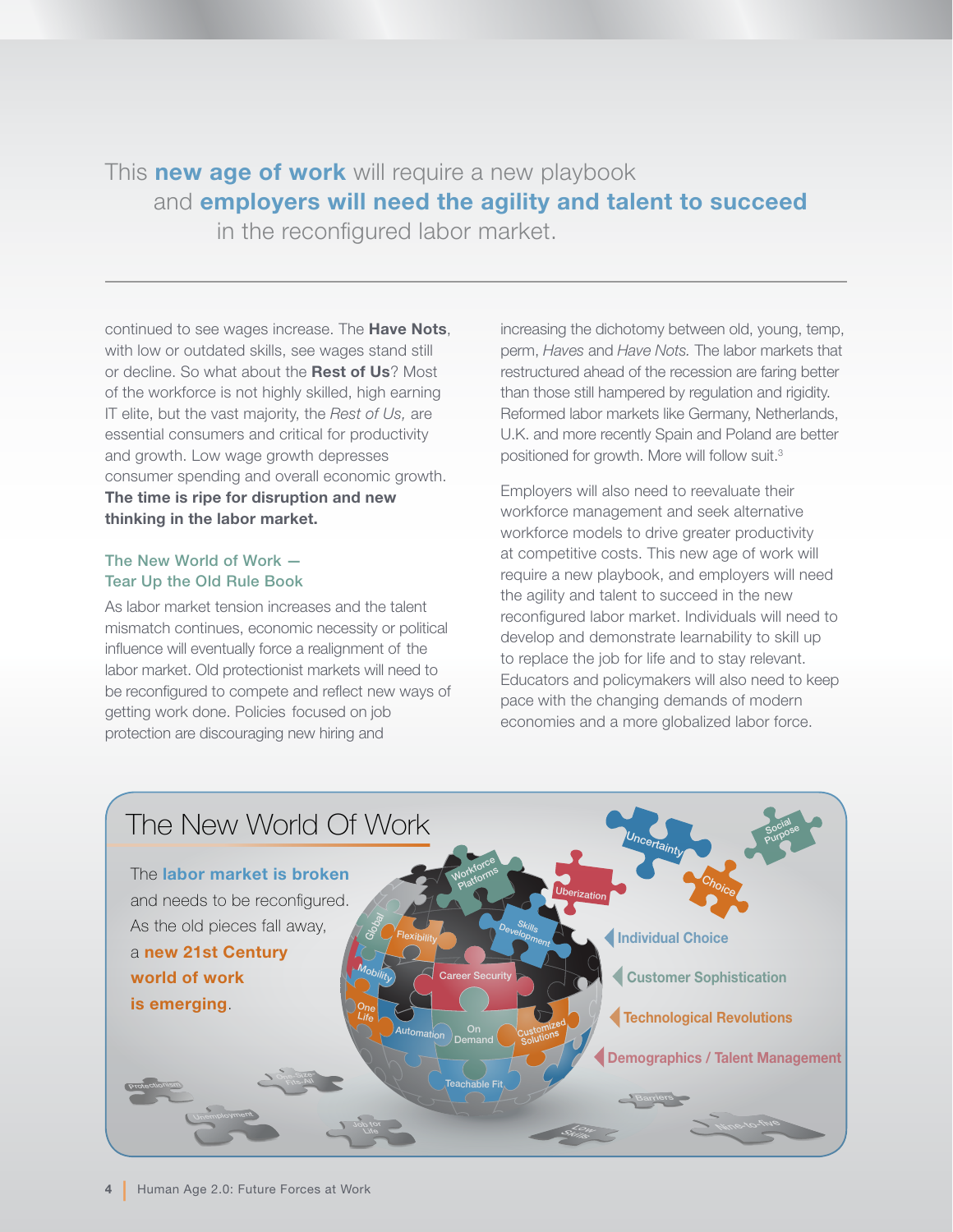## This **new age of work** will require a new playbook and employers will need the agility and talent to succeed

in the reconfigured labor market.

continued to see wages increase. The **Have Nots**, with low or outdated skills, see wages stand still or decline. So what about the Rest of Us? Most of the workforce is not highly skilled, high earning IT elite, but the vast majority, the *Rest of Us,* are essential consumers and critical for productivity and growth. Low wage growth depresses consumer spending and overall economic growth. The time is ripe for disruption and new thinking in the labor market.

#### The New World of Work — Tear Up the Old Rule Book

As labor market tension increases and the talent mismatch continues, economic necessity or political influence will eventually force a realignment of the labor market. Old protectionist markets will need to be reconfigured to compete and reflect new ways of getting work done. Policies focused on job protection are discouraging new hiring and

increasing the dichotomy between old, young, temp, perm, *Haves* and *Have Nots.* The labor markets that restructured ahead of the recession are faring better than those still hampered by regulation and rigidity. Reformed labor markets like Germany, Netherlands, U.K. and more recently Spain and Poland are better positioned for growth. More will follow suit.3

Employers will also need to reevaluate their workforce management and seek alternative workforce models to drive greater productivity at competitive costs. This new age of work will require a new playbook, and employers will need the agility and talent to succeed in the new reconfigured labor market. Individuals will need to develop and demonstrate learnability to skill up to replace the job for life and to stay relevant. Educators and policymakers will also need to keep pace with the changing demands of modern economies and a more globalized labor force.

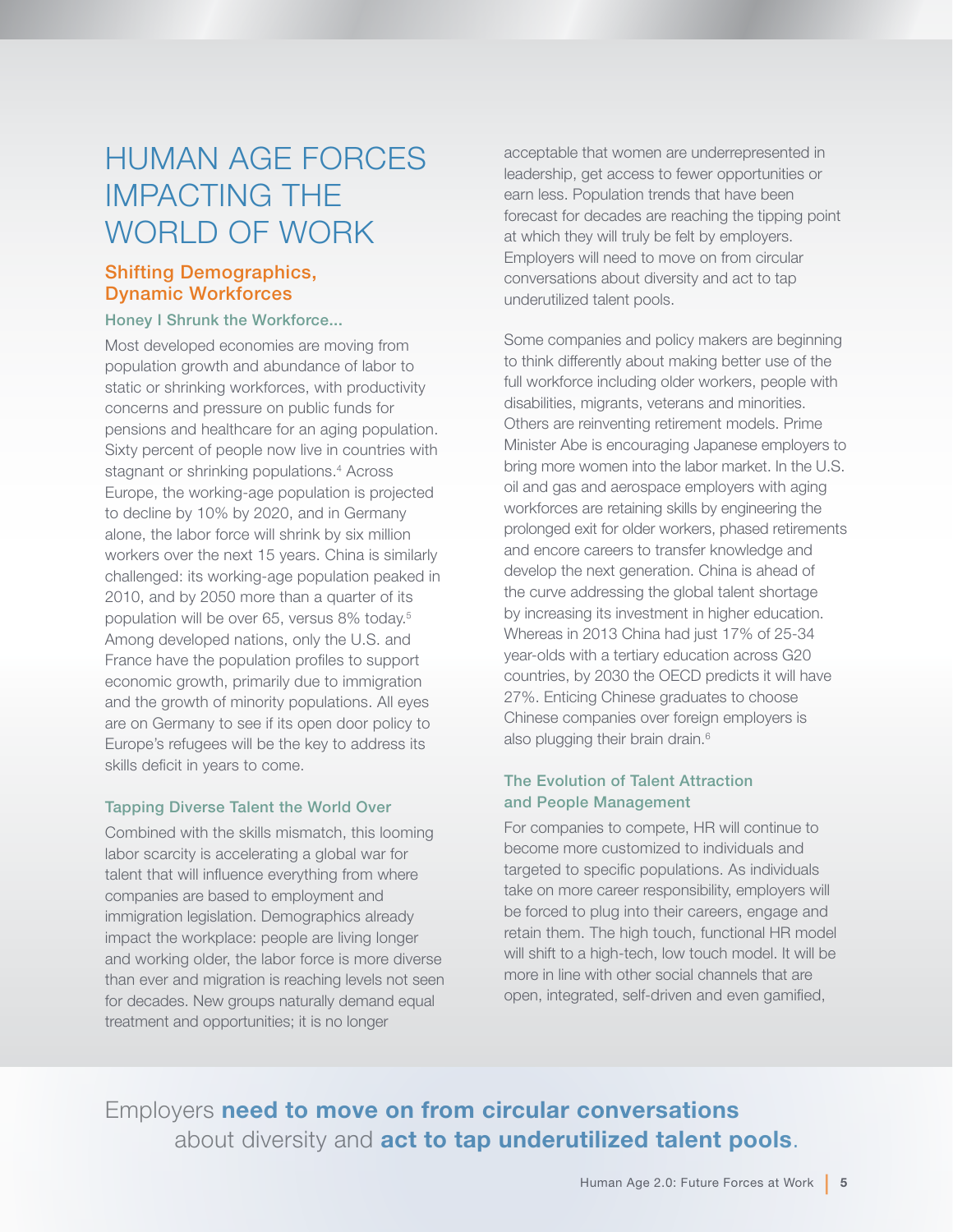## HUMAN AGE FORCES IMPACTING THE WORLD OF WORK

#### Shifting Demographics, Dynamic Workforces

#### Honey I Shrunk the Workforce...

Most developed economies are moving from population growth and abundance of labor to static or shrinking workforces, with productivity concerns and pressure on public funds for pensions and healthcare for an aging population. Sixty percent of people now live in countries with stagnant or shrinking populations.<sup>4</sup> Across Europe, the working-age population is projected to decline by 10% by 2020, and in Germany alone, the labor force will shrink by six million workers over the next 15 years. China is similarly challenged: its working-age population peaked in 2010, and by 2050 more than a quarter of its population will be over 65, versus 8% today.<sup>5</sup> Among developed nations, only the U.S. and France have the population profiles to support economic growth, primarily due to immigration and the growth of minority populations. All eyes are on Germany to see if its open door policy to Europe's refugees will be the key to address its skills deficit in years to come.

#### Tapping Diverse Talent the World Over

Combined with the skills mismatch, this looming labor scarcity is accelerating a global war for talent that will influence everything from where companies are based to employment and immigration legislation. Demographics already impact the workplace: people are living longer and working older, the labor force is more diverse than ever and migration is reaching levels not seen for decades. New groups naturally demand equal treatment and opportunities; it is no longer

acceptable that women are underrepresented in leadership, get access to fewer opportunities or earn less. Population trends that have been forecast for decades are reaching the tipping point at which they will truly be felt by employers. Employers will need to move on from circular conversations about diversity and act to tap underutilized talent pools.

Some companies and policy makers are beginning to think differently about making better use of the full workforce including older workers, people with disabilities, migrants, veterans and minorities. Others are reinventing retirement models. Prime Minister Abe is encouraging Japanese employers to bring more women into the labor market. In the U.S. oil and gas and aerospace employers with aging workforces are retaining skills by engineering the prolonged exit for older workers, phased retirements and encore careers to transfer knowledge and develop the next generation. China is ahead of the curve addressing the global talent shortage by increasing its investment in higher education. Whereas in 2013 China had just 17% of 25-34 year-olds with a tertiary education across G20 countries, by 2030 the OECD predicts it will have 27%. Enticing Chinese graduates to choose Chinese companies over foreign employers is also plugging their brain drain.<sup>6</sup>

#### The Evolution of Talent Attraction and People Management

For companies to compete, HR will continue to become more customized to individuals and targeted to specific populations. As individuals take on more career responsibility, employers will be forced to plug into their careers, engage and retain them. The high touch, functional HR model will shift to a high-tech, low touch model. It will be more in line with other social channels that are open, integrated, self-driven and even gamified,

## Employers need to move on from circular conversations about diversity and act to tap underutilized talent pools.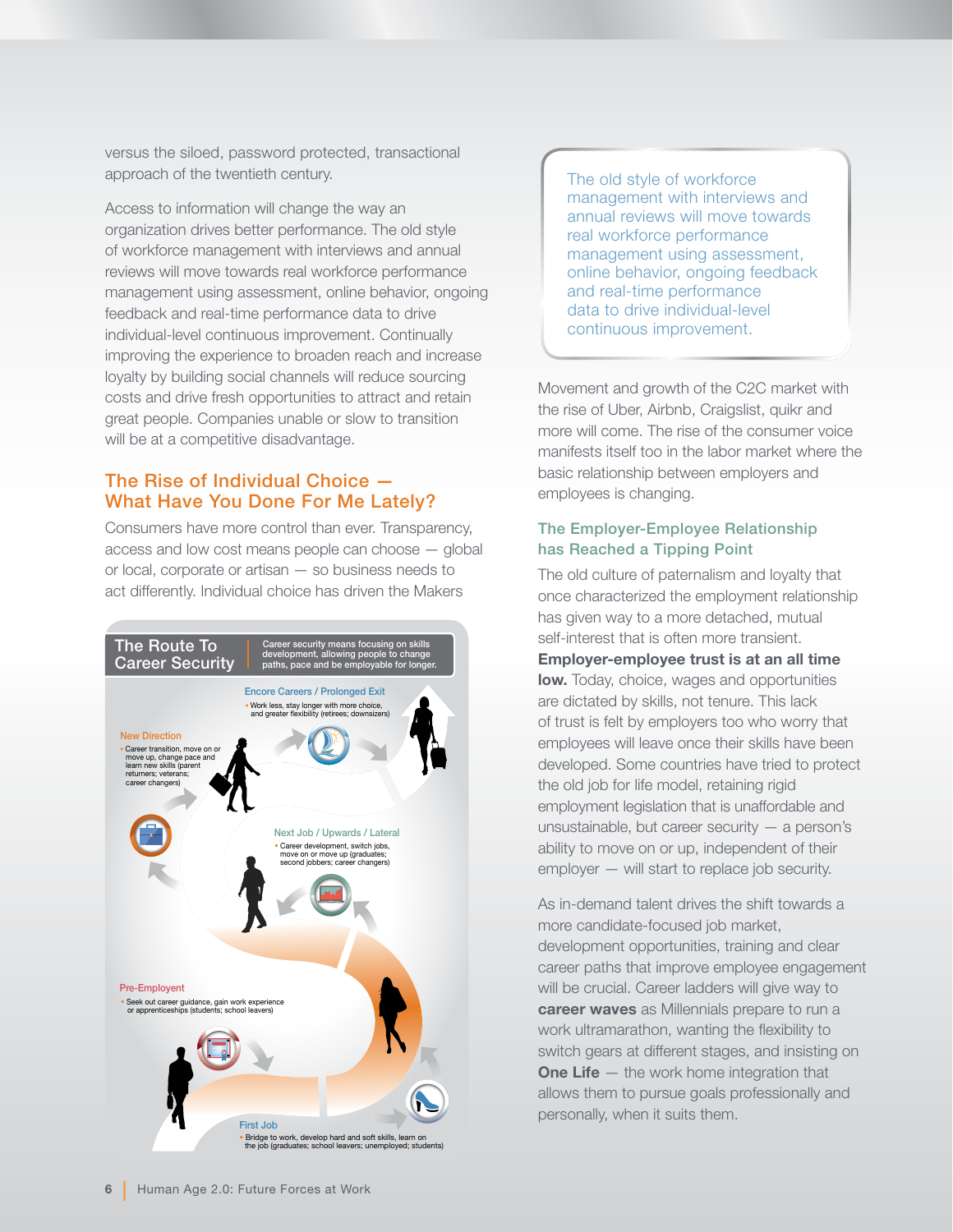versus the siloed, password protected, transactional approach of the twentieth century.

Access to information will change the way an organization drives better performance. The old style of workforce management with interviews and annual reviews will move towards real workforce performance management using assessment, online behavior, ongoing feedback and real-time performance data to drive individual-level continuous improvement. Continually improving the experience to broaden reach and increase loyalty by building social channels will reduce sourcing costs and drive fresh opportunities to attract and retain great people. Companies unable or slow to transition will be at a competitive disadvantage.

#### The Rise of Individual Choice — What Have You Done For Me Lately?

Consumers have more control than ever. Transparency, access and low cost means people can choose — global or local, corporate or artisan — so business needs to act differently. Individual choice has driven the Makers



The old style of workforce management with interviews and annual reviews will move towards real workforce performance management using assessment, online behavior, ongoing feedback and real-time performance data to drive individual-level continuous improvement.

Movement and growth of the C2C market with the rise of Uber, Airbnb, Craigslist, quikr and more will come. The rise of the consumer voice manifests itself too in the labor market where the basic relationship between employers and employees is changing.

#### The Employer-Employee Relationship has Reached a Tipping Point

The old culture of paternalism and loyalty that once characterized the employment relationship has given way to a more detached, mutual self-interest that is often more transient. Employer-employee trust is at an all time **low.** Today, choice, wages and opportunities are dictated by skills, not tenure. This lack of trust is felt by employers too who worry that employees will leave once their skills have been developed. Some countries have tried to protect the old job for life model, retaining rigid employment legislation that is unaffordable and unsustainable, but career security — a person's ability to move on or up, independent of their employer — will start to replace job security.

As in-demand talent drives the shift towards a more candidate-focused job market, development opportunities, training and clear career paths that improve employee engagement will be crucial. Career ladders will give way to career waves as Millennials prepare to run a work ultramarathon, wanting the flexibility to switch gears at different stages, and insisting on **One Life**  $-$  the work home integration that allows them to pursue goals professionally and personally, when it suits them.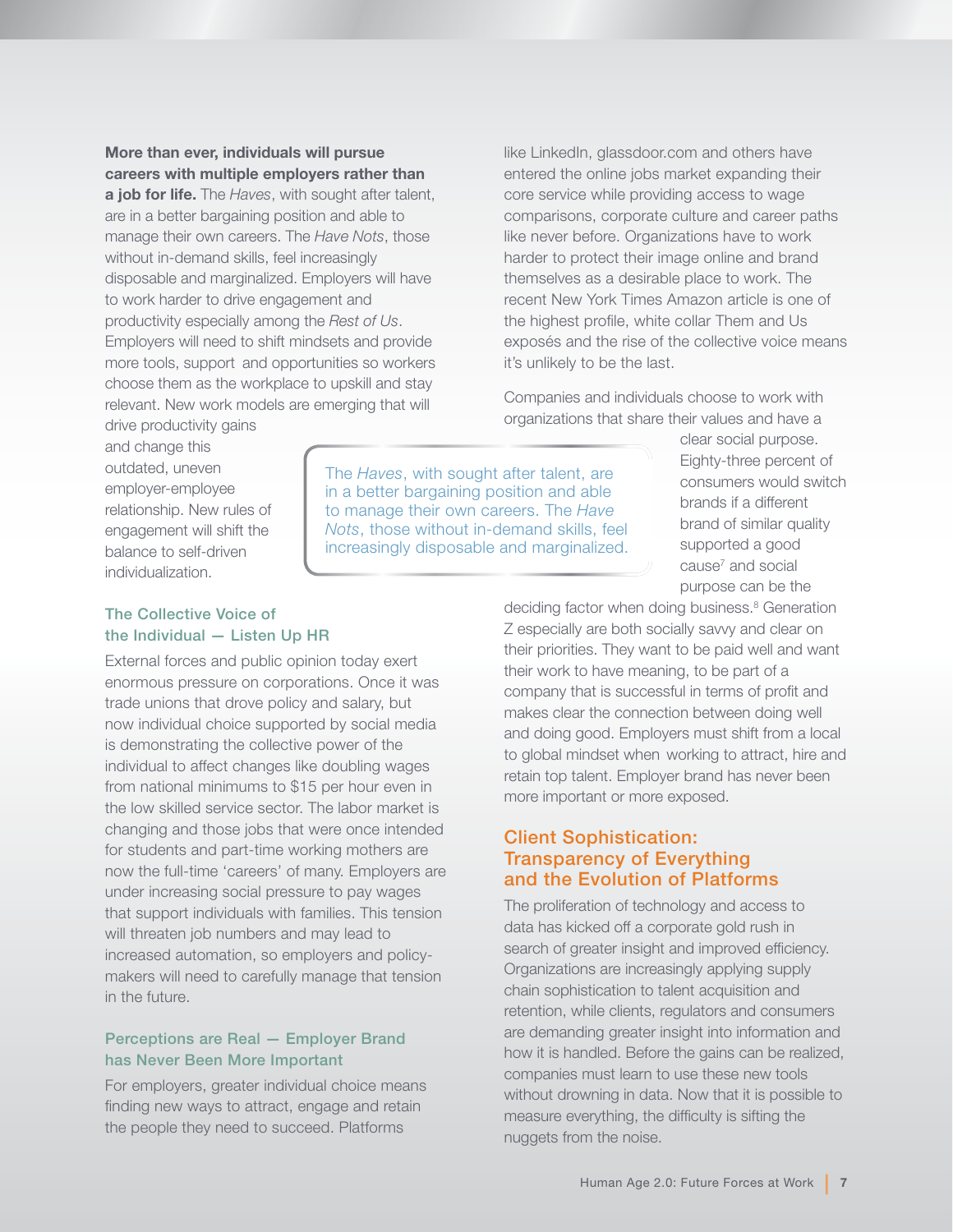More than ever, individuals will pursue careers with multiple employers rather than a job for life. The *Haves*, with sought after talent, are in a better bargaining position and able to manage their own careers. The *Have Nots*, those without in-demand skills, feel increasingly disposable and marginalized. Employers will have to work harder to drive engagement and productivity especially among the *Rest of Us*. Employers will need to shift mindsets and provide more tools, support and opportunities so workers choose them as the workplace to upskill and stay relevant. New work models are emerging that will

like LinkedIn, glassdoor.com and others have entered the online jobs market expanding their core service while providing access to wage comparisons, corporate culture and career paths like never before. Organizations have to work harder to protect their image online and brand themselves as a desirable place to work. The recent New York Times Amazon article is one of the highest profile, white collar Them and Us exposés and the rise of the collective voice means it's unlikely to be the last.

Companies and individuals choose to work with organizations that share their values and have a

drive productivity gains and change this outdated, uneven employer-employee relationship. New rules of engagement will shift the balance to self-driven individualization.

The *Haves*, with sought after talent, are in a better bargaining position and able to manage their own careers. The *Have Nots*, those without in-demand skills, feel increasingly disposable and marginalized.

#### The Collective Voice of the Individual — Listen Up HR

External forces and public opinion today exert enormous pressure on corporations. Once it was trade unions that drove policy and salary, but now individual choice supported by social media is demonstrating the collective power of the individual to affect changes like doubling wages from national minimums to \$15 per hour even in the low skilled service sector. The labor market is changing and those jobs that were once intended for students and part-time working mothers are now the full-time 'careers' of many. Employers are under increasing social pressure to pay wages that support individuals with families. This tension will threaten job numbers and may lead to increased automation, so employers and policymakers will need to carefully manage that tension in the future.

#### Perceptions are Real — Employer Brand has Never Been More Important

For employers, greater individual choice means finding new ways to attract, engage and retain the people they need to succeed. Platforms

clear social purpose. Eighty-three percent of consumers would switch brands if a different brand of similar quality supported a good cause<sup>7</sup> and social purpose can be the

deciding factor when doing business.<sup>8</sup> Generation Z especially are both socially savvy and clear on their priorities. They want to be paid well and want their work to have meaning, to be part of a company that is successful in terms of profit and makes clear the connection between doing well and doing good. Employers must shift from a local to global mindset when working to attract, hire and retain top talent. Employer brand has never been more important or more exposed.

#### Client Sophistication: Transparency of Everything and the Evolution of Platforms

The proliferation of technology and access to data has kicked off a corporate gold rush in search of greater insight and improved efficiency. Organizations are increasingly applying supply chain sophistication to talent acquisition and retention, while clients, regulators and consumers are demanding greater insight into information and how it is handled. Before the gains can be realized, companies must learn to use these new tools without drowning in data. Now that it is possible to measure everything, the difficulty is sifting the nuggets from the noise.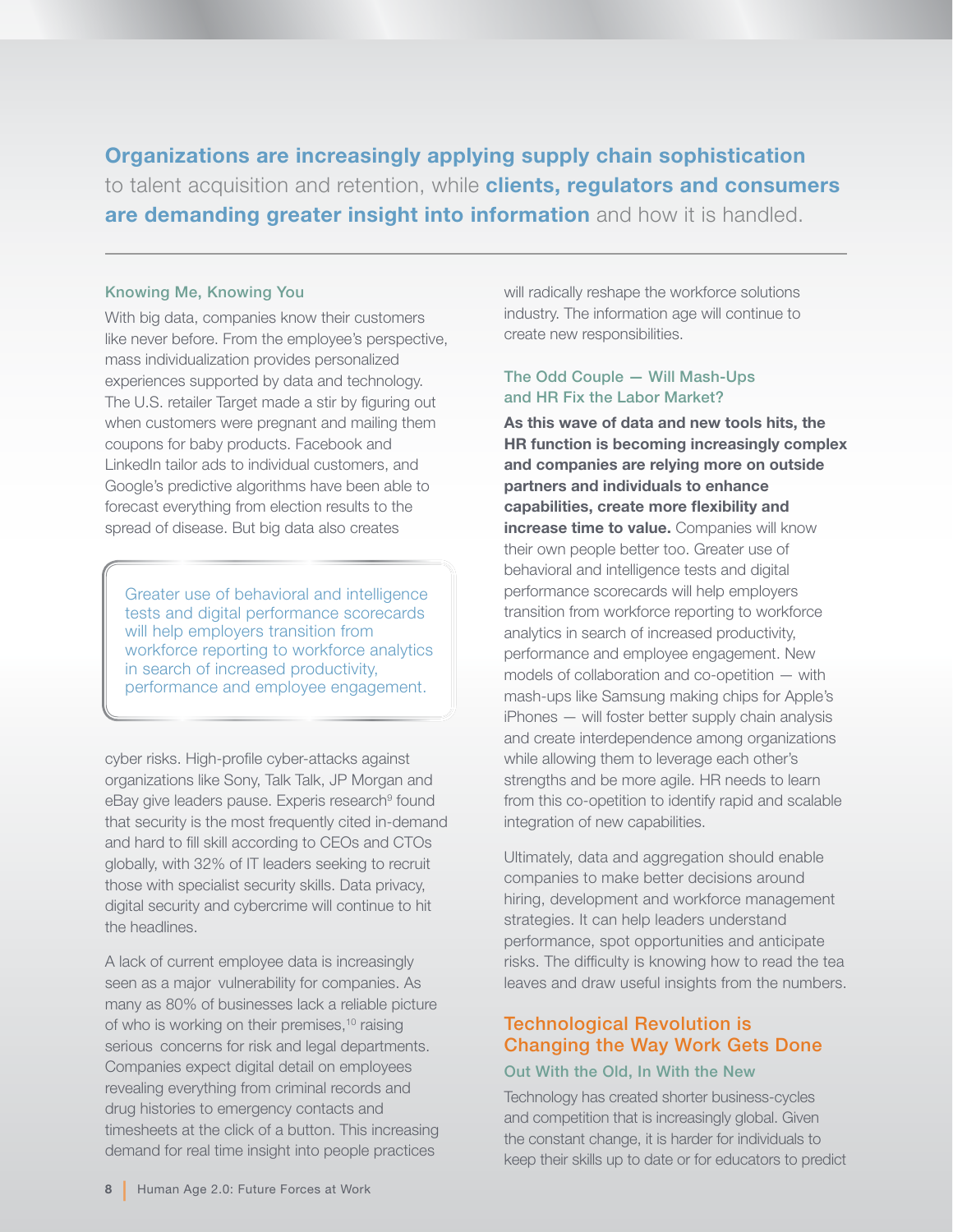Organizations are increasingly applying supply chain sophistication to talent acquisition and retention, while clients, regulators and consumers are demanding greater insight into information and how it is handled.

#### Knowing Me, Knowing You

With big data, companies know their customers like never before. From the employee's perspective, mass individualization provides personalized experiences supported by data and technology. The U.S. retailer Target made a stir by figuring out when customers were pregnant and mailing them coupons for baby products. Facebook and LinkedIn tailor ads to individual customers, and Google's predictive algorithms have been able to forecast everything from election results to the spread of disease. But big data also creates

Greater use of behavioral and intelligence tests and digital performance scorecards will help employers transition from workforce reporting to workforce analytics in search of increased productivity, performance and employee engagement.

cyber risks. High-profile cyber-attacks against organizations like Sony, Talk Talk, JP Morgan and eBay give leaders pause. Experis research<sup>9</sup> found that security is the most frequently cited in-demand and hard to fill skill according to CEOs and CTOs globally, with 32% of IT leaders seeking to recruit those with specialist security skills. Data privacy, digital security and cybercrime will continue to hit the headlines.

A lack of current employee data is increasingly seen as a major vulnerability for companies. As many as 80% of businesses lack a reliable picture of who is working on their premises,<sup>10</sup> raising serious concerns for risk and legal departments. Companies expect digital detail on employees revealing everything from criminal records and drug histories to emergency contacts and timesheets at the click of a button. This increasing demand for real time insight into people practices

will radically reshape the workforce solutions industry. The information age will continue to create new responsibilities.

#### The Odd Couple — Will Mash-Ups and HR Fix the Labor Market?

As this wave of data and new tools hits, the HR function is becoming increasingly complex and companies are relying more on outside partners and individuals to enhance capabilities, create more flexibility and increase time to value. Companies will know their own people better too. Greater use of behavioral and intelligence tests and digital performance scorecards will help employers transition from workforce reporting to workforce analytics in search of increased productivity, performance and employee engagement. New models of collaboration and co-opetition — with mash-ups like Samsung making chips for Apple's iPhones — will foster better supply chain analysis and create interdependence among organizations while allowing them to leverage each other's strengths and be more agile. HR needs to learn from this co-opetition to identify rapid and scalable integration of new capabilities.

Ultimately, data and aggregation should enable companies to make better decisions around hiring, development and workforce management strategies. It can help leaders understand performance, spot opportunities and anticipate risks. The difficulty is knowing how to read the tea leaves and draw useful insights from the numbers.

#### Technological Revolution is Changing the Way Work Gets Done Out With the Old, In With the New

## Technology has created shorter business-cycles

and competition that is increasingly global. Given the constant change, it is harder for individuals to keep their skills up to date or for educators to predict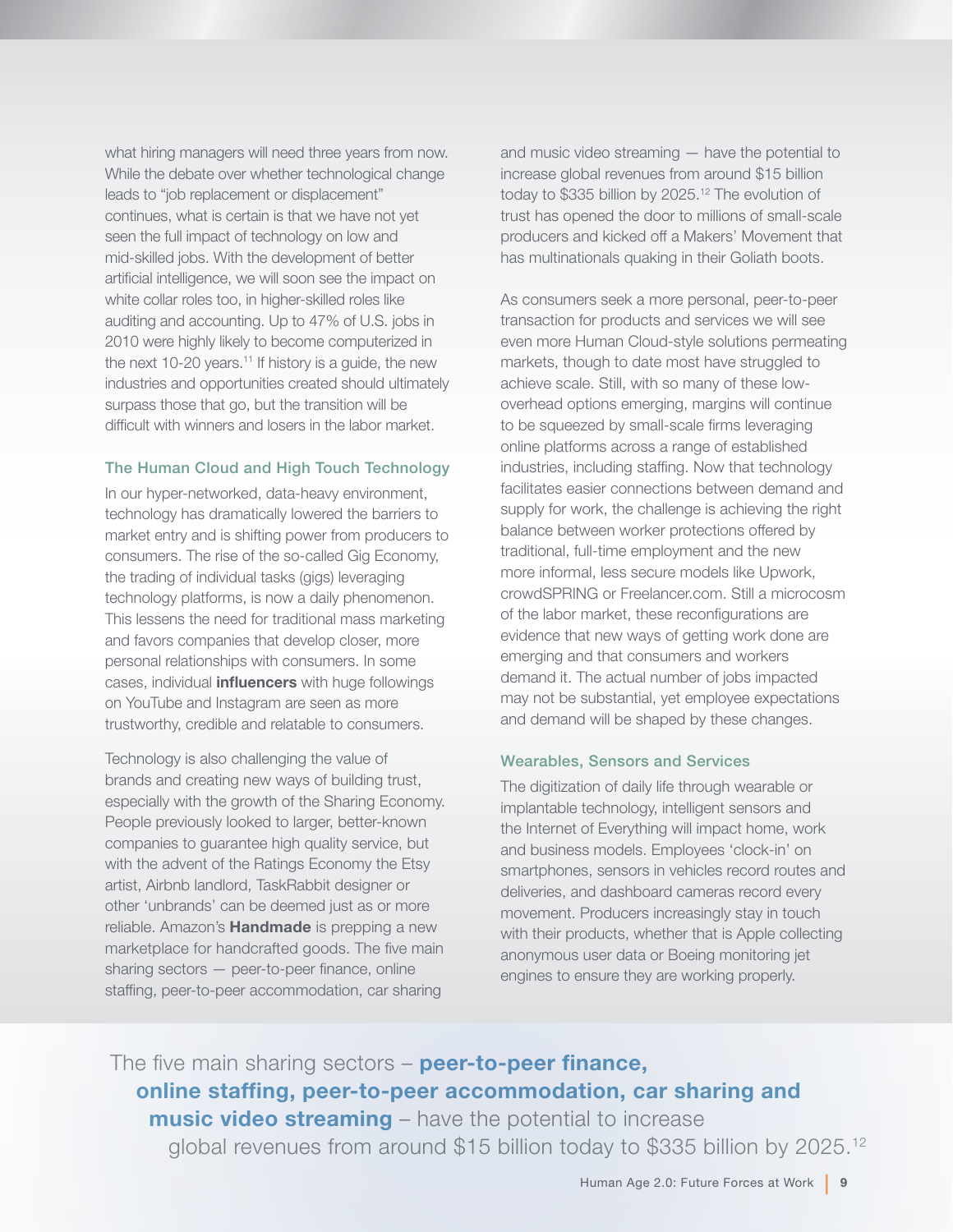what hiring managers will need three years from now. While the debate over whether technological change leads to "job replacement or displacement" continues, what is certain is that we have not yet seen the full impact of technology on low and mid-skilled jobs. With the development of better artificial intelligence, we will soon see the impact on white collar roles too, in higher-skilled roles like auditing and accounting. Up to 47% of U.S. jobs in 2010 were highly likely to become computerized in the next 10-20 years.<sup>11</sup> If history is a guide, the new industries and opportunities created should ultimately surpass those that go, but the transition will be difficult with winners and losers in the labor market.

#### The Human Cloud and High Touch Technology

In our hyper-networked, data-heavy environment, technology has dramatically lowered the barriers to market entry and is shifting power from producers to consumers. The rise of the so-called Gig Economy, the trading of individual tasks (gigs) leveraging technology platforms, is now a daily phenomenon. This lessens the need for traditional mass marketing and favors companies that develop closer, more personal relationships with consumers. In some cases, individual *influencers* with huge followings on YouTube and Instagram are seen as more trustworthy, credible and relatable to consumers.

Technology is also challenging the value of brands and creating new ways of building trust, especially with the growth of the Sharing Economy. People previously looked to larger, better-known companies to guarantee high quality service, but with the advent of the Ratings Economy the Etsy artist, Airbnb landlord, TaskRabbit designer or other 'unbrands' can be deemed just as or more reliable. Amazon's **Handmade** is prepping a new marketplace for handcrafted goods. The five main sharing sectors — peer-to-peer finance, online staffing, peer-to-peer accommodation, car sharing

and music video streaming — have the potential to increase global revenues from around \$15 billion today to \$335 billion by 2025.12 The evolution of trust has opened the door to millions of small-scale producers and kicked off a Makers' Movement that has multinationals quaking in their Goliath boots.

As consumers seek a more personal, peer-to-peer transaction for products and services we will see even more Human Cloud-style solutions permeating markets, though to date most have struggled to achieve scale. Still, with so many of these lowoverhead options emerging, margins will continue to be squeezed by small-scale firms leveraging online platforms across a range of established industries, including staffing. Now that technology facilitates easier connections between demand and supply for work, the challenge is achieving the right balance between worker protections offered by traditional, full-time employment and the new more informal, less secure models like Upwork, crowdSPRING or Freelancer.com. Still a microcosm of the labor market, these reconfigurations are evidence that new ways of getting work done are emerging and that consumers and workers demand it. The actual number of jobs impacted may not be substantial, yet employee expectations and demand will be shaped by these changes.

#### Wearables, Sensors and Services

The digitization of daily life through wearable or implantable technology, intelligent sensors and the Internet of Everything will impact home, work and business models. Employees 'clock-in' on smartphones, sensors in vehicles record routes and deliveries, and dashboard cameras record every movement. Producers increasingly stay in touch with their products, whether that is Apple collecting anonymous user data or Boeing monitoring jet engines to ensure they are working properly.

The five main sharing sectors – **peer-to-peer finance**, online staffing, peer-to-peer accommodation, car sharing and **music video streaming** – have the potential to increase global revenues from around \$15 billion today to \$335 billion by 2025.12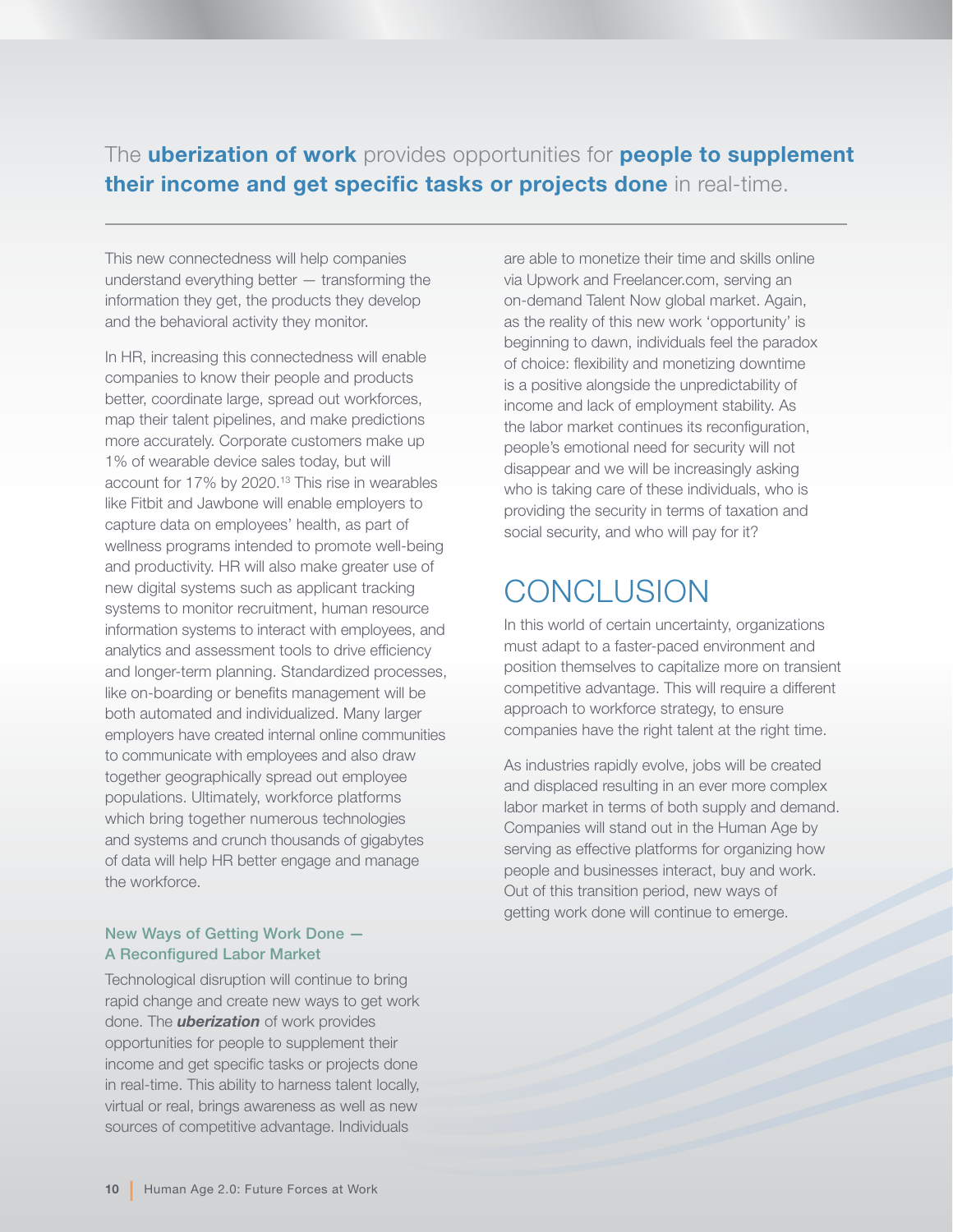### The **uberization of work** provides opportunities for **people to supplement** their income and get specific tasks or projects done in real-time.

This new connectedness will help companies understand everything better — transforming the information they get, the products they develop and the behavioral activity they monitor.

In HR, increasing this connectedness will enable companies to know their people and products better, coordinate large, spread out workforces, map their talent pipelines, and make predictions more accurately. Corporate customers make up 1% of wearable device sales today, but will account for 17% by 2020.<sup>13</sup> This rise in wearables like Fitbit and Jawbone will enable employers to capture data on employees' health, as part of wellness programs intended to promote well-being and productivity. HR will also make greater use of new digital systems such as applicant tracking systems to monitor recruitment, human resource information systems to interact with employees, and analytics and assessment tools to drive efficiency and longer-term planning. Standardized processes, like on-boarding or benefits management will be both automated and individualized. Many larger employers have created internal online communities to communicate with employees and also draw together geographically spread out employee populations. Ultimately, workforce platforms which bring together numerous technologies and systems and crunch thousands of gigabytes of data will help HR better engage and manage the workforce.

#### New Ways of Getting Work Done — A Reconfigured Labor Market

Technological disruption will continue to bring rapid change and create new ways to get work done. The **uberization** of work provides opportunities for people to supplement their income and get specific tasks or projects done in real-time. This ability to harness talent locally, virtual or real, brings awareness as well as new sources of competitive advantage. Individuals

are able to monetize their time and skills online via Upwork and Freelancer.com, serving an on-demand Talent Now global market. Again, as the reality of this new work 'opportunity' is beginning to dawn, individuals feel the paradox of choice: flexibility and monetizing downtime is a positive alongside the unpredictability of income and lack of employment stability. As the labor market continues its reconfiguration, people's emotional need for security will not disappear and we will be increasingly asking who is taking care of these individuals, who is providing the security in terms of taxation and social security, and who will pay for it?

## **CONCLUSION**

In this world of certain uncertainty, organizations must adapt to a faster-paced environment and position themselves to capitalize more on transient competitive advantage. This will require a different approach to workforce strategy, to ensure companies have the right talent at the right time.

As industries rapidly evolve, jobs will be created and displaced resulting in an ever more complex labor market in terms of both supply and demand. Companies will stand out in the Human Age by serving as effective platforms for organizing how people and businesses interact, buy and work. Out of this transition period, new ways of getting work done will continue to emerge.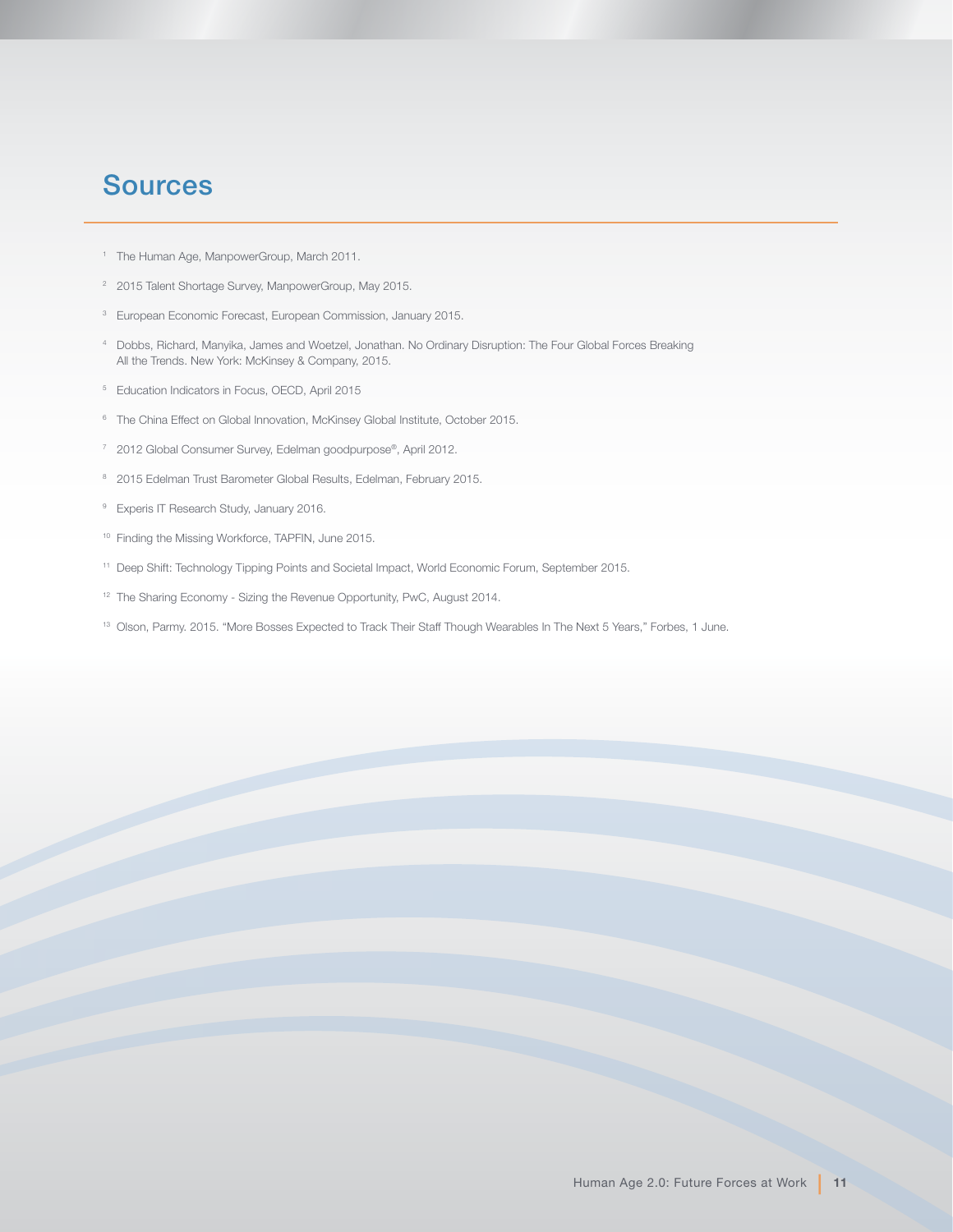## **Sources**

- <sup>1</sup> The Human Age, ManpowerGroup, March 2011.
- <sup>2</sup> 2015 Talent Shortage Survey, ManpowerGroup, May 2015.
- 3 European Economic Forecast, European Commission, January 2015.
- 4 Dobbs, Richard, Manyika, James and Woetzel, Jonathan. No Ordinary Disruption: The Four Global Forces Breaking All the Trends. New York: McKinsey & Company, 2015.
- 5 Education Indicators in Focus, OECD, April 2015
- <sup>6</sup> The China Effect on Global Innovation, McKinsey Global Institute, October 2015.
- 7 2012 Global Consumer Survey, Edelman goodpurpose®, April 2012.
- 8 2015 Edelman Trust Barometer Global Results, Edelman, February 2015.
- <sup>9</sup> Experis IT Research Study, January 2016.
- 10 Finding the Missing Workforce, TAPFIN, June 2015.
- 11 Deep Shift: Technology Tipping Points and Societal Impact, World Economic Forum, September 2015.
- <sup>12</sup> The Sharing Economy Sizing the Revenue Opportunity, PwC, August 2014.
- 13 Olson, Parmy. 2015. "More Bosses Expected to Track Their Staff Though Wearables In The Next 5 Years," Forbes, 1 June.